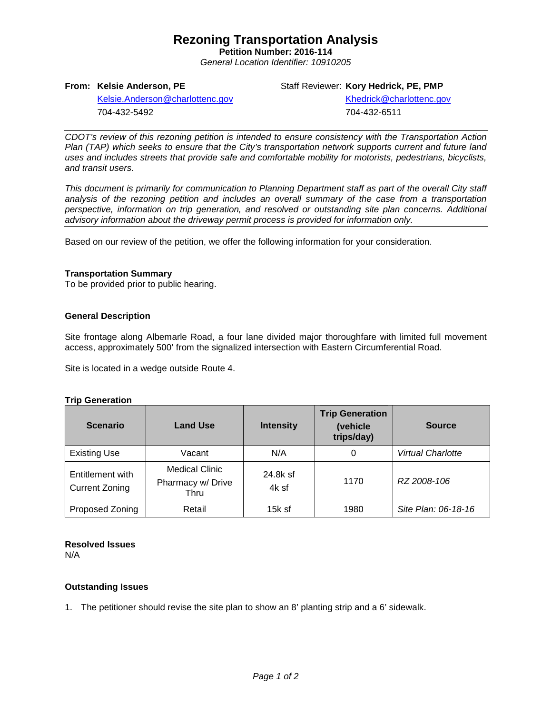## **Rezoning Transportation Analysis**

**Petition Number: 2016-114** *General Location Identifier: 10910205*

### **From: Kelsie Anderson, PE**

Staff Reviewer: **Kory Hedrick, PE, PMP**

[Kelsie.Anderson@charlottenc.gov](mailto:Kelsie.Anderson@charlottenc.gov) 704-432-5492

[Khedrick@charlottenc.gov](file://CHARLOTTE/CoCDFS/Planning/Applications/GIS%201/Development%20Services/Land_Development/Rezoning/2016/2016-110/Khedrick@charlottenc.gov) 704-432-6511

*CDOT's review of this rezoning petition is intended to ensure consistency with the Transportation Action Plan (TAP) which seeks to ensure that the City's transportation network supports current and future land uses and includes streets that provide safe and comfortable mobility for motorists, pedestrians, bicyclists, and transit users.*

*This document is primarily for communication to Planning Department staff as part of the overall City staff analysis of the rezoning petition and includes an overall summary of the case from a transportation perspective, information on trip generation, and resolved or outstanding site plan concerns. Additional advisory information about the driveway permit process is provided for information only.*

Based on our review of the petition, we offer the following information for your consideration.

### **Transportation Summary**

To be provided prior to public hearing.

### **General Description**

Site frontage along Albemarle Road, a four lane divided major thoroughfare with limited full movement access, approximately 500' from the signalized intersection with Eastern Circumferential Road.

Site is located in a wedge outside Route 4.

#### **Trip Generation**

| <b>Scenario</b>                           | <b>Land Use</b>                                    | <b>Intensity</b>  | <b>Trip Generation</b><br>(vehicle<br>trips/day) | <b>Source</b>       |  |
|-------------------------------------------|----------------------------------------------------|-------------------|--------------------------------------------------|---------------------|--|
| <b>Existing Use</b>                       | Vacant                                             | N/A               | 0                                                | Virtual Charlotte   |  |
| Entitlement with<br><b>Current Zoning</b> | <b>Medical Clinic</b><br>Pharmacy w/ Drive<br>Thru | 24.8k sf<br>4k sf | 1170                                             | RZ 2008-106         |  |
| Proposed Zoning                           | Retail                                             | $15k$ sf          | 1980                                             | Site Plan: 06-18-16 |  |

### **Resolved Issues**

N/A

### **Outstanding Issues**

1. The petitioner should revise the site plan to show an 8' planting strip and a 6' sidewalk.